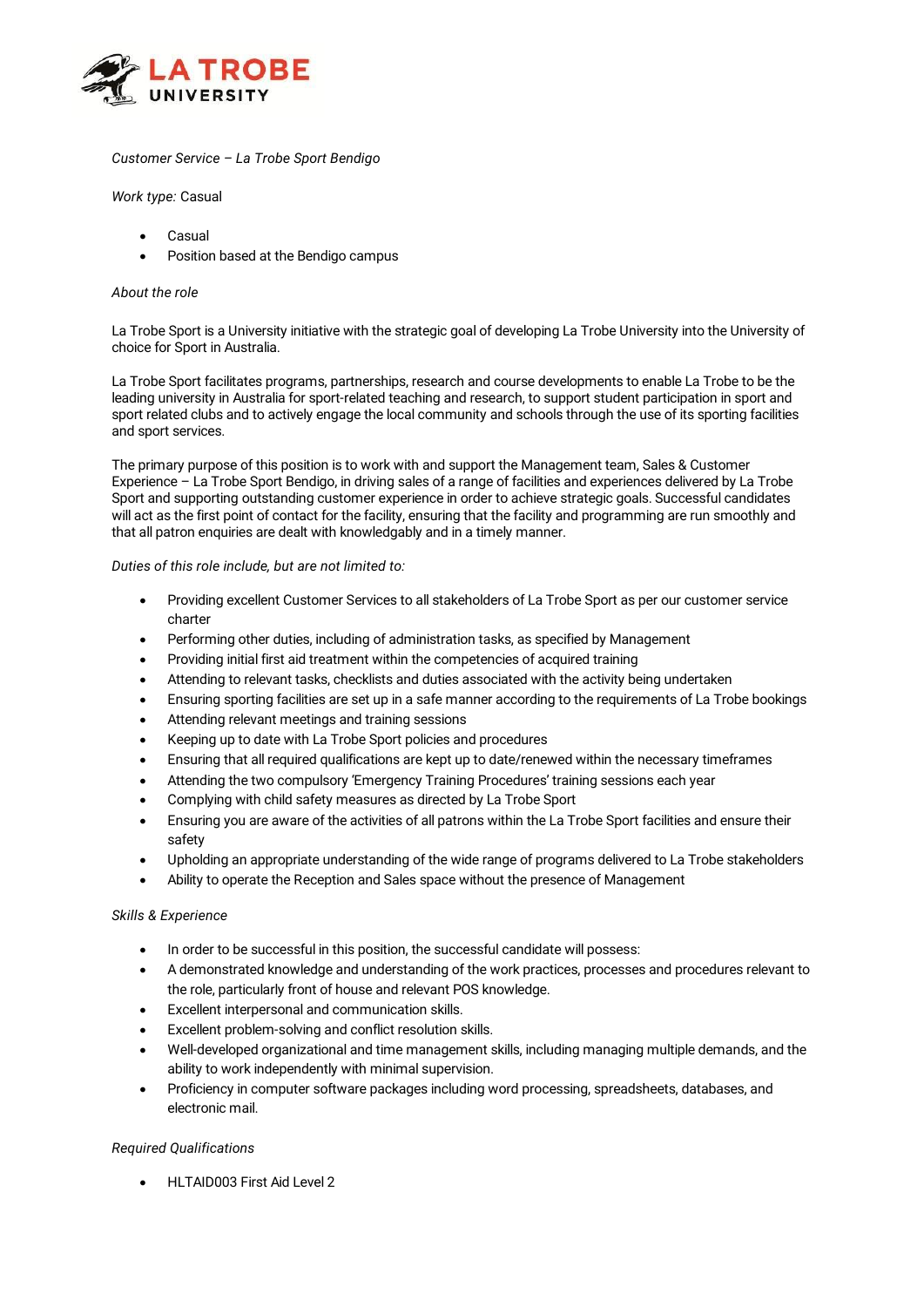

# *Customer Service – La Trobe Sport Bendigo*

*Work type:* Casual

- **Casual**
- Position based at the Bendigo campus

#### *About the role*

La Trobe Sport is a University initiative with the strategic goal of developing La Trobe University into the University of choice for Sport in Australia.

La Trobe Sport facilitates programs, partnerships, research and course developments to enable La Trobe to be the leading university in Australia for sport-related teaching and research, to support student participation in sport and sport related clubs and to actively engage the local community and schools through the use of its sporting facilities and sport services.

The primary purpose of this position is to work with and support the Management team, Sales & Customer Experience – La Trobe Sport Bendigo, in driving sales of a range of facilities and experiences delivered by La Trobe Sport and supporting outstanding customer experience in order to achieve strategic goals. Successful candidates will act as the first point of contact for the facility, ensuring that the facility and programming are run smoothly and that all patron enquiries are dealt with knowledgably and in a timely manner.

#### *Duties of this role include, but are not limited to:*

- Providing excellent Customer Services to all stakeholders of La Trobe Sport as per our customer service charter
- Performing other duties, including of administration tasks, as specified by Management
- Providing initial first aid treatment within the competencies of acquired training
- Attending to relevant tasks, checklists and duties associated with the activity being undertaken
- Ensuring sporting facilities are set up in a safe manner according to the requirements of La Trobe bookings
- Attending relevant meetings and training sessions
- Keeping up to date with La Trobe Sport policies and procedures
- Ensuring that all required qualifications are kept up to date/renewed within the necessary timeframes
- Attending the two compulsory 'Emergency Training Procedures' training sessions each year
- Complying with child safety measures as directed by La Trobe Sport
- Ensuring you are aware of the activities of all patrons within the La Trobe Sport facilities and ensure their safety
- Upholding an appropriate understanding of the wide range of programs delivered to La Trobe stakeholders
- Ability to operate the Reception and Sales space without the presence of Management

### *Skills & Experience*

- In order to be successful in this position, the successful candidate will possess:
- A demonstrated knowledge and understanding of the work practices, processes and procedures relevant to the role, particularly front of house and relevant POS knowledge.
- Excellent interpersonal and communication skills.
- Excellent problem-solving and conflict resolution skills.
- Well-developed organizational and time management skills, including managing multiple demands, and the ability to work independently with minimal supervision.
- Proficiency in computer software packages including word processing, spreadsheets, databases, and electronic mail.

## *Required Qualifications*

• HLTAID003 First Aid Level 2